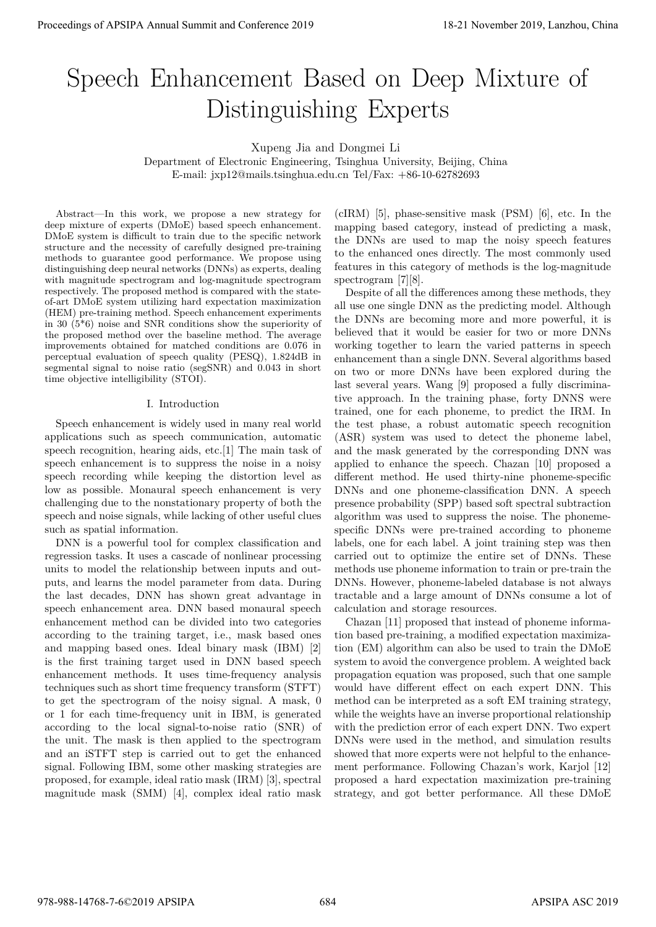# Speech Enhancement Based on Deep Mixture of Distinguishing Experts

Xupeng Jia and Dongmei Li

Department of Electronic Engineering, Tsinghua University, Beijing, China E-mail: jxp12@mails.tsinghua.edu.cn Tel/Fax: +86-10-62782693

Abstract—In this work, we propose a new strategy for deep mixture of experts (DMoE) based speech enhancement. DMoE system is difficult to train due to the specific network structure and the necessity of carefully designed pre-training methods to guarantee good performance. We propose using distinguishing deep neural networks (DNNs) as experts, dealing with magnitude spectrogram and log-magnitude spectrogram respectively. The proposed method is compared with the stateof-art DMoE system utilizing hard expectation maximization (HEM) pre-training method. Speech enhancement experiments in 30 (5\*6) noise and SNR conditions show the superiority of the proposed method over the baseline method. The average improvements obtained for matched conditions are 0.076 in perceptual evaluation of speech quality (PESQ), 1.824dB in segmental signal to noise ratio (segSNR) and 0.043 in short time objective intelligibility (STOI).

## I. Introduction

Speech enhancement is widely used in many real world applications such as speech communication, automatic speech recognition, hearing aids, etc.[1] The main task of speech enhancement is to suppress the noise in a noisy speech recording while keeping the distortion level as low as possible. Monaural speech enhancement is very challenging due to the nonstationary property of both the speech and noise signals, while lacking of other useful clues such as spatial information.

DNN is a powerful tool for complex classification and regression tasks. It uses a cascade of nonlinear processing units to model the relationship between inputs and outputs, and learns the model parameter from data. During the last decades, DNN has shown great advantage in speech enhancement area. DNN based monaural speech enhancement method can be divided into two categories according to the training target, i.e., mask based ones and mapping based ones. Ideal binary mask (IBM) [2] is the first training target used in DNN based speech enhancement methods. It uses time-frequency analysis techniques such as short time frequency transform (STFT) to get the spectrogram of the noisy signal. A mask, 0 or 1 for each time-frequency unit in IBM, is generated according to the local signal-to-noise ratio (SNR) of the unit. The mask is then applied to the spectrogram and an iSTFT step is carried out to get the enhanced signal. Following IBM, some other masking strategies are proposed, for example, ideal ratio mask (IRM) [3], spectral magnitude mask (SMM) [4], complex ideal ratio mask

(cIRM) [5], phase-sensitive mask (PSM) [6], etc. In the mapping based category, instead of predicting a mask, the DNNs are used to map the noisy speech features to the enhanced ones directly. The most commonly used features in this category of methods is the log-magnitude spectrogram [7][8].

Despite of all the differences among these methods, they all use one single DNN as the predicting model. Although the DNNs are becoming more and more powerful, it is believed that it would be easier for two or more DNNs working together to learn the varied patterns in speech enhancement than a single DNN. Several algorithms based on two or more DNNs have been explored during the last several years. Wang [9] proposed a fully discriminative approach. In the training phase, forty DNNS were trained, one for each phoneme, to predict the IRM. In the test phase, a robust automatic speech recognition (ASR) system was used to detect the phoneme label, and the mask generated by the corresponding DNN was applied to enhance the speech. Chazan [10] proposed a different method. He used thirty-nine phoneme-specific DNNs and one phoneme-classification DNN. A speech presence probability (SPP) based soft spectral subtraction algorithm was used to suppress the noise. The phonemespecific DNNs were pre-trained according to phoneme labels, one for each label. A joint training step was then carried out to optimize the entire set of DNNs. These methods use phoneme information to train or pre-train the DNNs. However, phoneme-labeled database is not always tractable and a large amount of DNNs consume a lot of calculation and storage resources. **Proceedings of APSIPA Annual Summit and Conference 2019**<br>
Specific  $\sum_{n=1}^{\infty}$  Content 2019, Langlace 2019<br>  $\sum_{n=1}^{\infty}$  Content 2019, Langlace 2019, Langlace 2019, Langlace 2019, Langlace 2019, Langlace 2019, Langl

Chazan [11] proposed that instead of phoneme information based pre-training, a modified expectation maximization (EM) algorithm can also be used to train the DMoE system to avoid the convergence problem. A weighted back propagation equation was proposed, such that one sample would have different effect on each expert DNN. This method can be interpreted as a soft EM training strategy, while the weights have an inverse proportional relationship with the prediction error of each expert DNN. Two expert DNNs were used in the method, and simulation results showed that more experts were not helpful to the enhancement performance. Following Chazan's work, Karjol [12] proposed a hard expectation maximization pre-training strategy, and got better performance. All these DMoE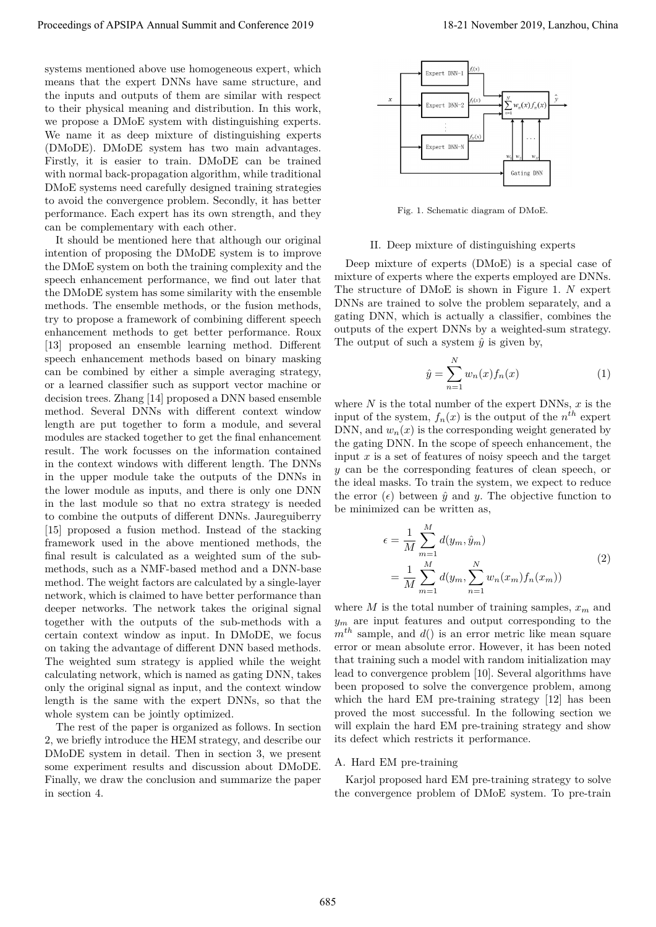systems mentioned above use homogeneous expert, which means that the expert DNNs have same structure, and the inputs and outputs of them are similar with respect to their physical meaning and distribution. In this work, we propose a DMoE system with distinguishing experts. We name it as deep mixture of distinguishing experts (DMoDE). DMoDE system has two main advantages. Firstly, it is easier to train. DMoDE can be trained with normal back-propagation algorithm, while traditional DMoE systems need carefully designed training strategies to avoid the convergence problem. Secondly, it has better performance. Each expert has its own strength, and they can be complementary with each other.

It should be mentioned here that although our original intention of proposing the DMoDE system is to improve the DMoE system on both the training complexity and the speech enhancement performance, we find out later that the DMoDE system has some similarity with the ensemble methods. The ensemble methods, or the fusion methods, try to propose a framework of combining different speech enhancement methods to get better performance. Roux [13] proposed an ensemble learning method. Different speech enhancement methods based on binary masking can be combined by either a simple averaging strategy, or a learned classifier such as support vector machine or decision trees. Zhang [14] proposed a DNN based ensemble method. Several DNNs with different context window length are put together to form a module, and several modules are stacked together to get the final enhancement result. The work focusses on the information contained in the context windows with different length. The DNNs in the upper module take the outputs of the DNNs in the lower module as inputs, and there is only one DNN in the last module so that no extra strategy is needed to combine the outputs of different DNNs. Jaureguiberry [15] proposed a fusion method. Instead of the stacking framework used in the above mentioned methods, the final result is calculated as a weighted sum of the submethods, such as a NMF-based method and a DNN-base method. The weight factors are calculated by a single-layer network, which is claimed to have better performance than deeper networks. The network takes the original signal together with the outputs of the sub-methods with a certain context window as input. In DMoDE, we focus on taking the advantage of different DNN based methods. The weighted sum strategy is applied while the weight calculating network, which is named as gating DNN, takes only the original signal as input, and the context window length is the same with the expert DNNs, so that the whole system can be jointly optimized. Proceedings of APSIPA Annual Summit and Conference 2019<br>
Supplies to the conference 2019 18-21 November 2019 18-21<br>
main that the expect EPS kare was attended in the conference 2019<br>
to the right shown and distinction in

The rest of the paper is organized as follows. In section 2, we briefly introduce the HEM strategy, and describe our DMoDE system in detail. Then in section 3, we present some experiment results and discussion about DMoDE. Finally, we draw the conclusion and summarize the paper in section 4.



Fig. 1. Schematic diagram of DMoE.

## II. Deep mixture of distinguishing experts

Deep mixture of experts (DMoE) is a special case of mixture of experts where the experts employed are DNNs. The structure of DMoE is shown in Figure 1. *N* expert DNNs are trained to solve the problem separately, and a gating DNN, which is actually a classifier, combines the outputs of the expert DNNs by a weighted-sum strategy. The output of such a system  $\hat{y}$  is given by,

$$
\hat{y} = \sum_{n=1}^{N} w_n(x) f_n(x) \tag{1}
$$

where *N* is the total number of the expert DNNs, *x* is the input of the system,  $f_n(x)$  is the output of the  $n^{th}$  expert DNN, and  $w_n(x)$  is the corresponding weight generated by the gating DNN. In the scope of speech enhancement, the input *x* is a set of features of noisy speech and the target *y* can be the corresponding features of clean speech, or the ideal masks. To train the system, we expect to reduce the error  $(\epsilon)$  between  $\hat{y}$  and *y*. The objective function to be minimized can be written as,

$$
\epsilon = \frac{1}{M} \sum_{m=1}^{M} d(y_m, \hat{y}_m)
$$
  
= 
$$
\frac{1}{M} \sum_{m=1}^{M} d(y_m, \sum_{n=1}^{N} w_n(x_m) f_n(x_m))
$$
 (2)

where *M* is the total number of training samples, *x<sup>m</sup>* and  $y_m$  are input features and output corresponding to the  $m<sup>th</sup>$  sample, and  $d()$  is an error metric like mean square error or mean absolute error. However, it has been noted that training such a model with random initialization may lead to convergence problem [10]. Several algorithms have been proposed to solve the convergence problem, among which the hard EM pre-training strategy [12] has been proved the most successful. In the following section we will explain the hard EM pre-training strategy and show its defect which restricts it performance.

# A. Hard EM pre-training

Karjol proposed hard EM pre-training strategy to solve the convergence problem of DMoE system. To pre-train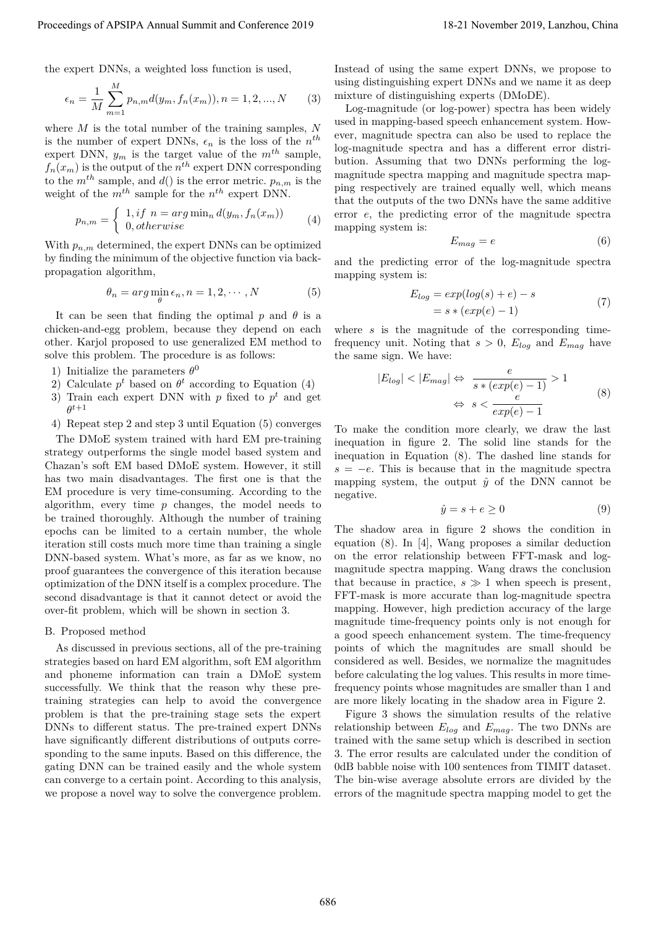the expert DNNs, a weighted loss function is used,

$$
\epsilon_n = \frac{1}{M} \sum_{m=1}^{M} p_{n,m} d(y_m, f_n(x_m)), n = 1, 2, ..., N
$$
 (3)

where *M* is the total number of the training samples, *N* is the number of expert DNNs,  $\epsilon_n$  is the loss of the  $n^{th}$ expert DNN,  $y_m$  is the target value of the  $m^{th}$  sample,  $f_n(x_m)$  is the output of the  $n^{th}$  expert DNN corresponding to the  $m^{th}$  sample, and  $d()$  is the error metric.  $p_{n,m}$  is the weight of the  $m^{th}$  sample for the  $n^{th}$  expert DNN.

$$
p_{n,m} = \begin{cases} 1, if \ n = arg \min_n d(y_m, f_n(x_m)) \\ 0, otherwise \end{cases} \tag{4}
$$

With  $p_{n,m}$  determined, the expert DNNs can be optimized by finding the minimum of the objective function via backpropagation algorithm,

$$
\theta_n = \arg\min_{\theta} \epsilon_n, n = 1, 2, \cdots, N \tag{5}
$$

It can be seen that finding the optimal  $p$  and  $\theta$  is a chicken-and-egg problem, because they depend on each other. Karjol proposed to use generalized EM method to solve this problem. The procedure is as follows:

- 1) Initialize the parameters  $\theta^0$
- 2) Calculate  $p^t$  based on  $\theta^t$  according to Equation (4)
- 3) Train each expert DNN with  $p$  fixed to  $p<sup>t</sup>$  and get  $\theta^{t+1}$
- 4) Repeat step 2 and step 3 until Equation (5) converges

The DMoE system trained with hard EM pre-training strategy outperforms the single model based system and Chazan's soft EM based DMoE system. However, it still has two main disadvantages. The first one is that the EM procedure is very time-consuming. According to the algorithm, every time *p* changes, the model needs to be trained thoroughly. Although the number of training epochs can be limited to a certain number, the whole iteration still costs much more time than training a single DNN-based system. What's more, as far as we know, no proof guarantees the convergence of this iteration because optimization of the DNN itself is a complex procedure. The second disadvantage is that it cannot detect or avoid the over-fit problem, which will be shown in section 3. Proceedings of APSIPA Annual Summit and Conference 2019 18-21 November 2019, Lanzhou, China 686 no 1972, a couple of the state of the state of the state of the state of the state of the state of the state of the state of

#### B. Proposed method

As discussed in previous sections, all of the pre-training strategies based on hard EM algorithm, soft EM algorithm and phoneme information can train a DMoE system successfully. We think that the reason why these pretraining strategies can help to avoid the convergence problem is that the pre-training stage sets the expert DNNs to different status. The pre-trained expert DNNs have significantly different distributions of outputs corresponding to the same inputs. Based on this difference, the gating DNN can be trained easily and the whole system can converge to a certain point. According to this analysis, we propose a novel way to solve the convergence problem.

Instead of using the same expert DNNs, we propose to using distinguishing expert DNNs and we name it as deep mixture of distinguishing experts (DMoDE).

Log-magnitude (or log-power) spectra has been widely used in mapping-based speech enhancement system. However, magnitude spectra can also be used to replace the log-magnitude spectra and has a different error distribution. Assuming that two DNNs performing the logmagnitude spectra mapping and magnitude spectra mapping respectively are trained equally well, which means that the outputs of the two DNNs have the same additive error *e*, the predicting error of the magnitude spectra mapping system is:

$$
E_{mag} = e \tag{6}
$$

and the predicting error of the log-magnitude spectra mapping system is:

$$
E_{log} = exp(log(s) + e) - s
$$
  
=  $s * (exp(e) - 1)$  (7)

where *s* is the magnitude of the corresponding timefrequency unit. Noting that  $s > 0$ ,  $E_{log}$  and  $E_{mag}$  have the same sign. We have:

$$
|E_{log}| < |E_{mag}| \Leftrightarrow \frac{e}{s * (exp(e) - 1)} > 1
$$
  

$$
\Leftrightarrow s < \frac{e}{exp(e) - 1}
$$
 (8)

To make the condition more clearly, we draw the last inequation in figure 2. The solid line stands for the inequation in Equation (8). The dashed line stands for *s* = *−e*. This is because that in the magnitude spectra mapping system, the output  $\hat{y}$  of the DNN cannot be negative.

$$
\hat{y} = s + e \ge 0\tag{9}
$$

The shadow area in figure 2 shows the condition in equation (8). In [4], Wang proposes a similar deduction on the error relationship between FFT-mask and logmagnitude spectra mapping. Wang draws the conclusion that because in practice,  $s \gg 1$  when speech is present, FFT-mask is more accurate than log-magnitude spectra mapping. However, high prediction accuracy of the large magnitude time-frequency points only is not enough for a good speech enhancement system. The time-frequency points of which the magnitudes are small should be considered as well. Besides, we normalize the magnitudes before calculating the log values. This results in more timefrequency points whose magnitudes are smaller than 1 and are more likely locating in the shadow area in Figure 2.

Figure 3 shows the simulation results of the relative relationship between  $E_{log}$  and  $E_{mag}$ . The two DNNs are trained with the same setup which is described in section 3. The error results are calculated under the condition of 0dB babble noise with 100 sentences from TIMIT dataset. The bin-wise average absolute errors are divided by the errors of the magnitude spectra mapping model to get the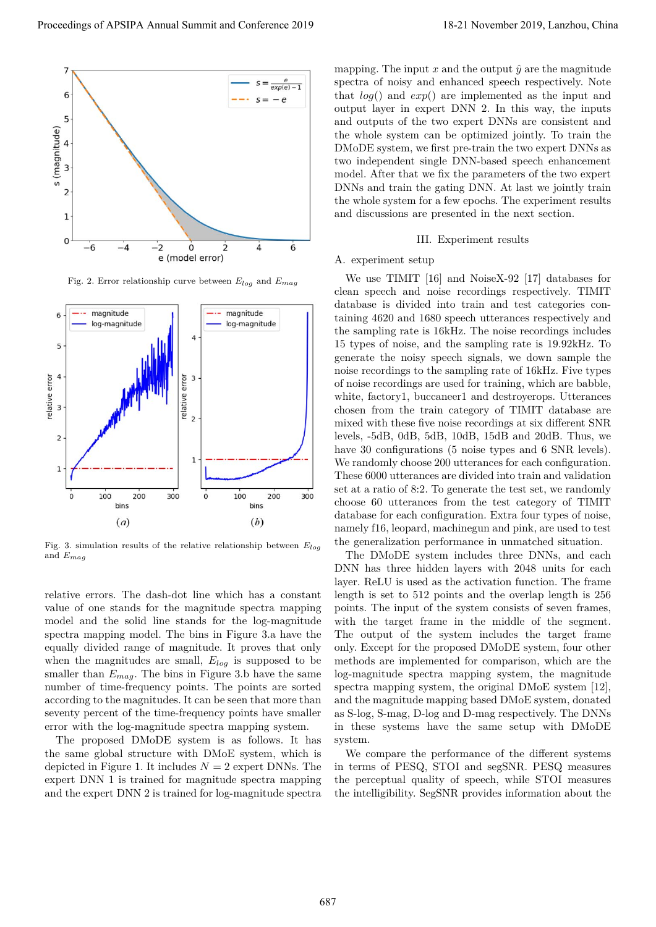

Fig. 2. Error relationship curve between *Elog* and *Emag*



Fig. 3. simulation results of the relative relationship between *Elog* and *Emag*

relative errors. The dash-dot line which has a constant value of one stands for the magnitude spectra mapping model and the solid line stands for the log-magnitude spectra mapping model. The bins in Figure 3.a have the equally divided range of magnitude. It proves that only when the magnitudes are small, *Elog* is supposed to be smaller than  $E_{mag}$ . The bins in Figure 3.b have the same number of time-frequency points. The points are sorted according to the magnitudes. It can be seen that more than seventy percent of the time-frequency points have smaller error with the log-magnitude spectra mapping system.

The proposed DMoDE system is as follows. It has the same global structure with DMoE system, which is depicted in Figure 1. It includes  $N = 2$  expert DNNs. The expert DNN 1 is trained for magnitude spectra mapping and the expert DNN 2 is trained for log-magnitude spectra

mapping. The input  $x$  and the output  $\hat{y}$  are the magnitude spectra of noisy and enhanced speech respectively. Note that *log*() and *exp*() are implemented as the input and output layer in expert DNN 2. In this way, the inputs and outputs of the two expert DNNs are consistent and the whole system can be optimized jointly. To train the DMoDE system, we first pre-train the two expert DNNs as two independent single DNN-based speech enhancement model. After that we fix the parameters of the two expert DNNs and train the gating DNN. At last we jointly train the whole system for a few epochs. The experiment results and discussions are presented in the next section.

#### III. Experiment results

# A. experiment setup

We use TIMIT [16] and NoiseX-92 [17] databases for clean speech and noise recordings respectively. TIMIT database is divided into train and test categories containing 4620 and 1680 speech utterances respectively and the sampling rate is 16kHz. The noise recordings includes 15 types of noise, and the sampling rate is 19.92kHz. To generate the noisy speech signals, we down sample the noise recordings to the sampling rate of 16kHz. Five types of noise recordings are used for training, which are babble, white, factory1, buccaneer1 and destroyerops. Utterances chosen from the train category of TIMIT database are mixed with these five noise recordings at six different SNR levels, -5dB, 0dB, 5dB, 10dB, 15dB and 20dB. Thus, we have 30 configurations (5 noise types and 6 SNR levels). We randomly choose 200 utterances for each configuration. These 6000 utterances are divided into train and validation set at a ratio of 8:2. To generate the test set, we randomly choose 60 utterances from the test category of TIMIT database for each configuration. Extra four types of noise, namely f16, leopard, machinegun and pink, are used to test the generalization performance in unmatched situation. Proceeding of APSIPA Annual Summit and Conference 2019 18-21 November 2019 18-21 November 2019 18-21 November 2019 18-21 November 2019 18-21 November 2019 18-21 November 2019 18-21 November 2019 18-21 November 2019 18-21

The DMoDE system includes three DNNs, and each DNN has three hidden layers with 2048 units for each layer. ReLU is used as the activation function. The frame length is set to 512 points and the overlap length is 256 points. The input of the system consists of seven frames, with the target frame in the middle of the segment. The output of the system includes the target frame only. Except for the proposed DMoDE system, four other methods are implemented for comparison, which are the log-magnitude spectra mapping system, the magnitude spectra mapping system, the original DMoE system [12], and the magnitude mapping based DMoE system, donated as S-log, S-mag, D-log and D-mag respectively. The DNNs in these systems have the same setup with DMoDE system.

We compare the performance of the different systems in terms of PESQ, STOI and segSNR. PESQ measures the perceptual quality of speech, while STOI measures the intelligibility. SegSNR provides information about the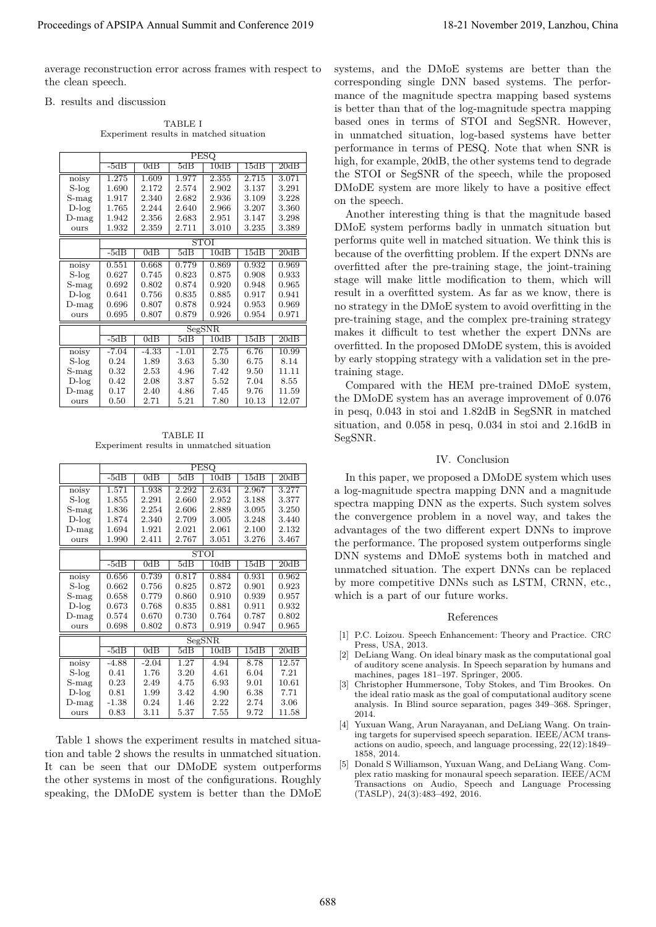TABLE I Experiment results in matched situation

|             | <b>PESQ</b>    |             |                |               |                 |       |  |  |
|-------------|----------------|-------------|----------------|---------------|-----------------|-------|--|--|
|             | $-5dB$         | 0dB         | 5dB            | 10dB          | 15dB            | 20dB  |  |  |
| noisy       | 1.275          | 1.609       | 1.977          | 2.355         | 2.715           | 3.071 |  |  |
| $S-log$     | 1.690          | 2.172       | 2.574          | 2.902         | 3.137           | 3.291 |  |  |
| $S$ -mag    | 1.917<br>2.340 |             | 2.682          | 2.936         | 3.109           | 3.228 |  |  |
| $D$ - $log$ | 1.765          | 2.244       | 2.640          | 2.966         | 3.207           | 3.360 |  |  |
| $D$ -mag    | 1.942          | 2.356       | 2.683          | 2.951         | 3.147           | 3.298 |  |  |
| ours        | 1.932          | 2.359       | 2.711          | 3.010         | 3.235           | 3.389 |  |  |
|             |                | <b>STOI</b> |                |               |                 |       |  |  |
|             | $-5dB$         | 0dB         | $5\mathrm{dB}$ | $10\text{dB}$ | $15\mathrm{dB}$ | 20dB  |  |  |
| noisy       | 0.551          | 0.668       | 0.779          | 0.869         | 0.932           | 0.969 |  |  |
| $S-log$     | 0.627          | 0.745       | 0.823          | 0.875         | 0.908           | 0.933 |  |  |
| S-mag       | 0.692          | 0.802       | 0.874          | 0.920         | 0.948           | 0.965 |  |  |
| $D$ - $log$ | 0.641          | 0.756       | 0.835          | 0.885         | 0.917           | 0.941 |  |  |
| $D$ -mag    | 0.696          | 0.807       | 0.878          | 0.924         | 0.953           | 0.969 |  |  |
| ours        | 0.695          | 0.807       | 0.879          | 0.926         | 0.954           | 0.971 |  |  |
|             |                |             |                | SegSNR        |                 |       |  |  |
|             | $-5dB$         | 0dB         | 5dB            | 10dB          | 15dB            | 20dB  |  |  |
| noisy       | $-7.04$        | $-4.33$     | $-1.01$        | 2.75          | 6.76            | 10.99 |  |  |
| $S-log$     | 0.24           | 1.89        | 3.63           | 5.30          | 6.75            | 8.14  |  |  |
| $S$ -mag    | 0.32           | 2.53        | 4.96           | 7.42          | 9.50            | 11.11 |  |  |
| $D$ - $log$ | 0.42           | 2.08        | 3.87           | 5.52          | 7.04            | 8.55  |  |  |
| $D$ -mag    | 0.17           | 2.40        | 4.86           | 7.45          | 9.76            | 11.59 |  |  |
| ours        | 0.50           | 2.71        | 5.21           | 7.80          | 10.13           | 12.07 |  |  |

TABLE II Experiment results in unmatched situation

|                                  |                          |                                           |                         |                         |                         | Proceedings of APSIPA Annual Summit and Conference 2019                                                                                                            | 18-21 November 2019, Lanzhou, China                                                                                                                                                                                        |
|----------------------------------|--------------------------|-------------------------------------------|-------------------------|-------------------------|-------------------------|--------------------------------------------------------------------------------------------------------------------------------------------------------------------|----------------------------------------------------------------------------------------------------------------------------------------------------------------------------------------------------------------------------|
| the clean speech.                |                          |                                           |                         |                         |                         | average reconstruction error across frames with respect to                                                                                                         | systems, and the DMoE systems are better than the<br>corresponding single DNN based systems. The perfor-<br>mance of the magnitude spectra mapping based systems                                                           |
| B. results and discussion        |                          |                                           | <b>TABLE I</b>          |                         |                         |                                                                                                                                                                    | is better than that of the log-magnitude spectra mapping<br>based ones in terms of STOI and SegSNR. However,                                                                                                               |
|                                  |                          | Experiment results in matched situation   |                         |                         |                         |                                                                                                                                                                    | in unmatched situation, log-based systems have better<br>performance in terms of PESQ. Note that when SNR is                                                                                                               |
| noisy                            | $-5dB$<br>1.275          | 0dB<br>1.609                              | 5dB<br>1.977            | PESQ<br>10dB<br>2.355   | 15dB<br>2.715           | 20dB<br>3.071                                                                                                                                                      | high, for example, 20dB, the other systems tend to degrade<br>the STOI or SegSNR of the speech, while the proposed                                                                                                         |
| $S-log$<br>S-mag                 | 1.690<br>1.917           | 2.172<br>2.340                            | 2.574<br>2.682          | 2.902<br>2.936          | 3.137<br>3.109          | 3.291<br>3.228                                                                                                                                                     | DMoDE system are more likely to have a positive effect<br>on the speech.                                                                                                                                                   |
| $D$ - $log$<br>$D$ -mag<br>ours  | 1.765<br>1.942<br>1.932  | 2.244<br>2.356<br>2.359                   | 2.640<br>2.683<br>2.711 | 2.966<br>2.951<br>3.010 | 3.207<br>3.147<br>3.235 | 3.360<br>$3.298\,$<br>$3.389\,$                                                                                                                                    | Another interesting thing is that the magnitude based<br>DMoE system performs badly in unmatch situation but                                                                                                               |
|                                  | $-5dB$                   | 0dB                                       | 5dB                     | <b>STOI</b><br>10dB     | 15dB                    | 20dB                                                                                                                                                               | performs quite well in matched situation. We think this is<br>because of the overfitting problem. If the expert DNNs are                                                                                                   |
| noisy<br>$S-log$<br>S-mag        | 0.551<br>0.627<br>0.692  | 0.668<br>0.745<br>0.802                   | 0.779<br>0.823<br>0.874 | 0.869<br>0.875<br>0.920 | 0.932<br>0.908<br>0.948 | 0.969<br>0.933<br>0.965                                                                                                                                            | overfitted after the pre-training stage, the joint-training<br>stage will make little modification to them, which will                                                                                                     |
| $D$ - $log$<br>$D$ -mag          | 0.641<br>0.696           | 0.756<br>0.807                            | 0.835<br>0.878          | 0.885<br>0.924          | 0.917<br>0.953          | 0.941<br>0.969                                                                                                                                                     | result in a overfitted system. As far as we know, there is<br>no strategy in the DMoE system to avoid overfitting in the                                                                                                   |
| ours                             | 0.695<br>$-5dB$          | 0.807<br>0dB                              | 0.879<br>5dB            | 0.926<br>SegSNR<br>10dB | 0.954<br>15dB           | 0.971<br>20dB                                                                                                                                                      | pre-training stage, and the complex pre-training strategy<br>makes it difficult to test whether the expert DNNs are                                                                                                        |
| noisy<br>$S-log$                 | $-7.04$<br>0.24          | $-4.33$<br>1.89                           | $-1.01$<br>3.63         | 2.75<br>5.30            | 6.76<br>6.75            | 10.99<br>8.14                                                                                                                                                      | overfitted. In the proposed DMoDE system, this is avoided<br>by early stopping strategy with a validation set in the pre-                                                                                                  |
| S-mag<br>$D$ - $log$<br>$D$ -mag | 0.32<br>0.42<br>0.17     | 2.53<br>2.08<br>2.40                      | 4.96<br>3.87<br>4.86    | 7.42<br>5.52<br>7.45    | 9.50<br>7.04<br>9.76    | 11.11<br>8.55<br>11.59                                                                                                                                             | training stage.<br>Compared with the HEM pre-trained DMoE system,                                                                                                                                                          |
| ours                             | 0.50                     | 2.71                                      | 5.21                    | 7.80                    | 10.13                   | 12.07                                                                                                                                                              | the DMoDE system has an average improvement of 0.076<br>in pesq, 0.043 in stoi and 1.82dB in SegSNR in matched                                                                                                             |
|                                  |                          | Experiment results in unmatched situation | TABLE II                |                         |                         |                                                                                                                                                                    | situation, and 0.058 in pesq, 0.034 in stoi and 2.16dB in<br>SegSNR.                                                                                                                                                       |
|                                  |                          |                                           | PESQ                    |                         |                         |                                                                                                                                                                    | IV. Conclusion                                                                                                                                                                                                             |
| noisy<br>$S-log$                 | $-5dB$<br>1.571<br>1.855 | 0dB<br>1.938<br>2.291                     | 5dB<br>2.292<br>2.660   | 10dB<br>2.634<br>2.952  | 15dB<br>2.967<br>3.188  | 20dB<br>3.277<br>3.377                                                                                                                                             | In this paper, we proposed a DMoDE system which uses<br>a log-magnitude spectra mapping DNN and a magnitude                                                                                                                |
| S-mag<br>$D$ - $log$<br>$D$ -mag | 1.836<br>1.874<br>1.694  | 2.254<br>2.340<br>1.921                   | 2.606<br>2.709<br>2.021 | 2.889<br>3.005<br>2.061 | 3.095<br>3.248<br>2.100 | 3.250<br>3.440<br>$2.132\,$                                                                                                                                        | spectra mapping DNN as the experts. Such system solves<br>the convergence problem in a novel way, and takes the                                                                                                            |
| ours                             | 1.990                    | 2.411                                     | 2.767                   | 3.051<br><b>STOI</b>    | 3.276                   | $3.467\,$                                                                                                                                                          | advantages of the two different expert DNNs to improve<br>the performance. The proposed system outperforms single<br>DNN systems and DMoE systems both in matched and                                                      |
| noisy                            | $-5dB$<br>0.656          | 0dB<br>0.739                              | 5dB<br>0.817            | 10dB<br>0.884           | 15dB<br>0.931           | 20dB<br>0.962                                                                                                                                                      | unmatched situation. The expert DNNs can be replaced<br>by more competitive DNNs such as LSTM, CRNN, etc.,                                                                                                                 |
| $S-log$<br>S-mag<br>$D$ - $log$  | 0.662<br>0.658<br>0.673  | 0.756<br>0.779<br>0.768                   | 0.825<br>0.860<br>0.835 | 0.872<br>0.910<br>0.881 | 0.901<br>0.939<br>0.911 | 0.923<br>0.957<br>0.932                                                                                                                                            | which is a part of our future works.                                                                                                                                                                                       |
| $D$ -mag<br>ours                 | 0.574<br>0.698           | 0.670<br>0.802                            | 0.730<br>0.873          | 0.764<br>0.919          | 0.787<br>0.947          | 0.802<br>0.965                                                                                                                                                     | References<br>[1] P.C. Loizou. Speech Enhancement: Theory and Practice. CRC                                                                                                                                                |
| noisy                            | $-5dB$<br>$-4.88$        | 0dB<br>$-2.04$                            | 5dB<br>1.27             | SegSNR<br>10dB<br>4.94  | 15dB<br>8.78            | 20dB<br>12.57                                                                                                                                                      | Press, USA, 2013.<br>DeLiang Wang. On ideal binary mask as the computational goal<br> 2 <br>of auditory scene analysis. In Speech separation by humans and                                                                 |
| $S-log$<br>S-mag<br>$D$ - $log$  | 0.41<br>0.23<br>0.81     | 1.76<br>2.49<br>1.99                      | 3.20<br>4.75<br>3.42    | 4.61<br>6.93<br>4.90    | 6.04<br>9.01<br>6.38    | 7.21<br>10.61<br>7.71                                                                                                                                              | machines, pages 181-197. Springer, 2005.<br>Christopher Hummersone, Toby Stokes, and Tim Brookes. On<br>-131                                                                                                               |
| $D$ -mag<br>ours                 | $-1.38$<br>0.83          | 0.24<br>3.11                              | 1.46<br>5.37            | $2.22\,$<br>7.55        | 2.74<br>9.72            | 3.06<br>11.58                                                                                                                                                      | the ideal ratio mask as the goal of computational auditory scene<br>analysis. In Blind source separation, pages 349–368. Springer,<br>2014.                                                                                |
|                                  |                          |                                           |                         |                         |                         | Table 1 shows the experiment results in matched situa-<br>tion and table 2 shows the results in unmatched situation.                                               | Yuxuan Wang, Arun Narayanan, and DeLiang Wang. On train-<br> 4 <br>ing targets for supervised speech separation. IEEE/ACM trans-<br>actions on audio, speech, and language processing, $22(12):1849-$<br>1858, 2014.       |
|                                  |                          |                                           |                         |                         |                         | It can be seen that our DMoDE system outperforms<br>the other systems in most of the configurations. Roughly<br>speaking, the DMoDE system is better than the DMoE | Donald S Williamson, Yuxuan Wang, and DeLiang Wang. Com-<br> 5 <br>plex ratio masking for monaural speech separation. IEEE/ACM<br>Transactions on Audio, Speech and Language Processing<br>$(TASLP), 24(3):483-492, 2016.$ |
|                                  |                          |                                           |                         |                         |                         |                                                                                                                                                                    |                                                                                                                                                                                                                            |
|                                  |                          |                                           |                         |                         |                         |                                                                                                                                                                    |                                                                                                                                                                                                                            |
|                                  |                          |                                           |                         |                         |                         |                                                                                                                                                                    |                                                                                                                                                                                                                            |
|                                  |                          |                                           |                         |                         |                         |                                                                                                                                                                    | 688                                                                                                                                                                                                                        |

# IV. Conclusion

#### References

- [1] P.C. Loizou. Speech Enhancement: Theory and Practice. CRC Press, USA, 2013.
- [2] DeLiang Wang. On ideal binary mask as the computational goal of auditory scene analysis. In Speech separation by humans and machines, pages 181–197. Springer, 2005.
- [3] Christopher Hummersone, Toby Stokes, and Tim Brookes. On the ideal ratio mask as the goal of computational auditory scene analysis. In Blind source separation, pages 349–368. Springer, 2014.
- [4] Yuxuan Wang, Arun Narayanan, and DeLiang Wang. On training targets for supervised speech separation. IEEE/ACM transactions on audio, speech, and language processing, 22(12):1849– 1858, 2014.
- [5] Donald S Williamson, Yuxuan Wang, and DeLiang Wang. Complex ratio masking for monaural speech separation. IEEE/ACM Transactions on Audio, Speech and Language Processing (TASLP), 24(3):483–492, 2016.